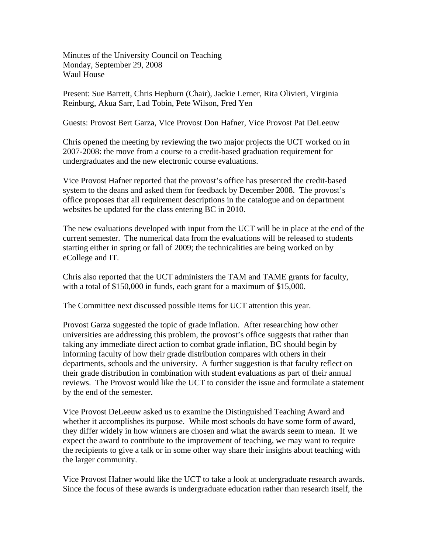Minutes of the University Council on Teaching Monday, September 29, 2008 Waul House

Present: Sue Barrett, Chris Hepburn (Chair), Jackie Lerner, Rita Olivieri, Virginia Reinburg, Akua Sarr, Lad Tobin, Pete Wilson, Fred Yen

Guests: Provost Bert Garza, Vice Provost Don Hafner, Vice Provost Pat DeLeeuw

Chris opened the meeting by reviewing the two major projects the UCT worked on in 2007-2008: the move from a course to a credit-based graduation requirement for undergraduates and the new electronic course evaluations.

Vice Provost Hafner reported that the provost's office has presented the credit-based system to the deans and asked them for feedback by December 2008. The provost's office proposes that all requirement descriptions in the catalogue and on department websites be updated for the class entering BC in 2010.

The new evaluations developed with input from the UCT will be in place at the end of the current semester. The numerical data from the evaluations will be released to students starting either in spring or fall of 2009; the technicalities are being worked on by eCollege and IT.

Chris also reported that the UCT administers the TAM and TAME grants for faculty, with a total of \$150,000 in funds, each grant for a maximum of \$15,000.

The Committee next discussed possible items for UCT attention this year.

Provost Garza suggested the topic of grade inflation. After researching how other universities are addressing this problem, the provost's office suggests that rather than taking any immediate direct action to combat grade inflation, BC should begin by informing faculty of how their grade distribution compares with others in their departments, schools and the university. A further suggestion is that faculty reflect on their grade distribution in combination with student evaluations as part of their annual reviews. The Provost would like the UCT to consider the issue and formulate a statement by the end of the semester.

Vice Provost DeLeeuw asked us to examine the Distinguished Teaching Award and whether it accomplishes its purpose. While most schools do have some form of award, they differ widely in how winners are chosen and what the awards seem to mean. If we expect the award to contribute to the improvement of teaching, we may want to require the recipients to give a talk or in some other way share their insights about teaching with the larger community.

Vice Provost Hafner would like the UCT to take a look at undergraduate research awards. Since the focus of these awards is undergraduate education rather than research itself, the